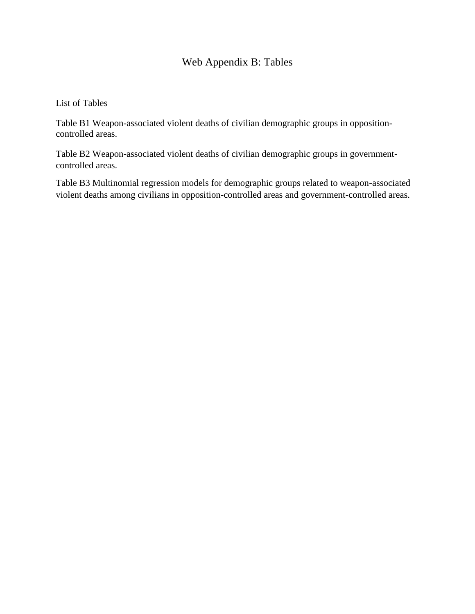## Web Appendix B: Tables

List of Tables

Table B1 Weapon-associated violent deaths of civilian demographic groups in oppositioncontrolled areas.

Table B2 Weapon-associated violent deaths of civilian demographic groups in governmentcontrolled areas.

Table B3 Multinomial regression models for demographic groups related to weapon-associated violent deaths among civilians in opposition-controlled areas and government-controlled areas.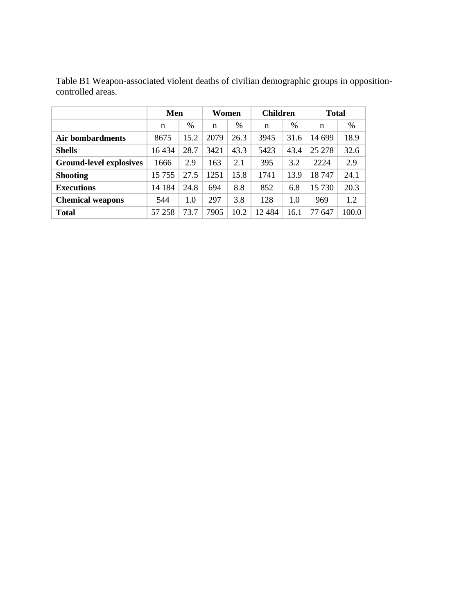|                                | Men     |      | Women |      | <b>Children</b> |      | <b>Total</b> |       |
|--------------------------------|---------|------|-------|------|-----------------|------|--------------|-------|
|                                | n       | %    | n     | %    | n               | $\%$ | n            | %     |
| Air bombardments               | 8675    | 15.2 | 2079  | 26.3 | 3945            | 31.6 | 14 699       | 18.9  |
| <b>Shells</b>                  | 16 4 34 | 28.7 | 3421  | 43.3 | 5423            | 43.4 | 25 278       | 32.6  |
| <b>Ground-level explosives</b> | 1666    | 2.9  | 163   | 2.1  | 395             | 3.2  | 2224         | 2.9   |
| <b>Shooting</b>                | 15 755  | 27.5 | 1251  | 15.8 | 1741            | 13.9 | 18747        | 24.1  |
| <b>Executions</b>              | 14 184  | 24.8 | 694   | 8.8  | 852             | 6.8  | 15 730       | 20.3  |
| <b>Chemical weapons</b>        | 544     | 1.0  | 297   | 3.8  | 128             | 1.0  | 969          | 1.2   |
| <b>Total</b>                   | 57 258  | 73.7 | 7905  | 10.2 | 12 484          | 16.1 | 77<br>647    | 100.0 |

Table B1 Weapon-associated violent deaths of civilian demographic groups in oppositioncontrolled areas.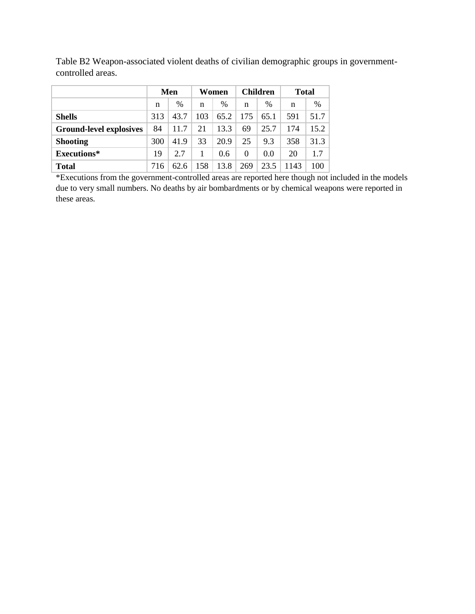|                                | Men |      | Women |      | <b>Children</b> |      | <b>Total</b> |      |
|--------------------------------|-----|------|-------|------|-----------------|------|--------------|------|
|                                | n   | $\%$ | n     | %    | n               | %    | n            | $\%$ |
| <b>Shells</b>                  | 313 | 43.7 | 103   | 65.2 | 175             | 65.1 | 591          | 51.7 |
| <b>Ground-level explosives</b> | 84  | 11.7 | 21    | 13.3 | 69              | 25.7 | 174          | 15.2 |
| <b>Shooting</b>                | 300 | 41.9 | 33    | 20.9 | 25              | 9.3  | 358          | 31.3 |
| Executions*                    | 19  | 2.7  |       | 0.6  | $\theta$        | 0.0  | 20           | 1.7  |
| <b>Total</b>                   | 716 | 62.6 | 158   | 13.8 | 269             | 23.5 | 1143         | 100  |

Table B2 Weapon-associated violent deaths of civilian demographic groups in governmentcontrolled areas.

\*Executions from the government-controlled areas are reported here though not included in the models due to very small numbers. No deaths by air bombardments or by chemical weapons were reported in these areas.